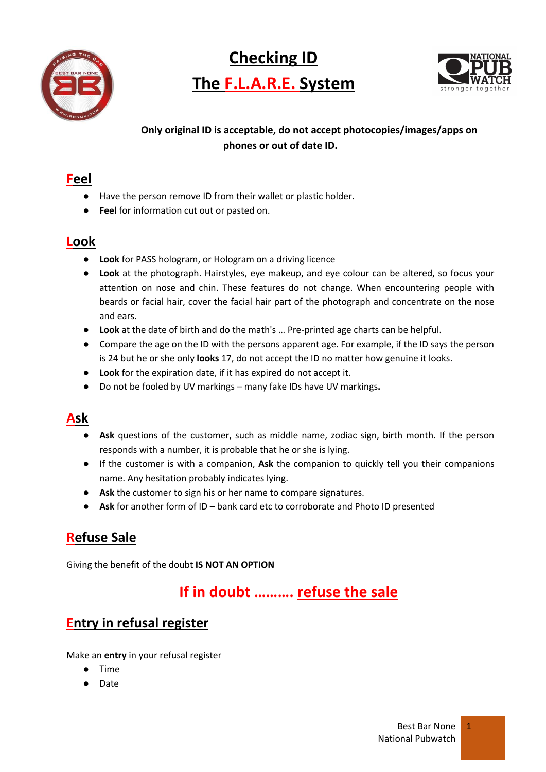

**Checking ID The F.L.A.R.E. System**



#### **Only original ID is acceptable, do not accept photocopies/images/apps on phones or out of date ID.**

#### **Feel**

- Have the person remove ID from their wallet or plastic holder.
- **Feel** for information cut out or pasted on.

### **Look**

- **Look** for PASS hologram, or Hologram on a driving licence
- **Look** at the photograph. Hairstyles, eye makeup, and eye colour can be altered, so focus your attention on nose and chin. These features do not change. When encountering people with beards or facial hair, cover the facial hair part of the photograph and concentrate on the nose and ears.
- **Look** at the date of birth and do the math's … Pre-printed age charts can be helpful.
- Compare the age on the ID with the persons apparent age. For example, if the ID says the person is 24 but he or she only **looks** 17, do not accept the ID no matter how genuine it looks.
- **Look** for the expiration date, if it has expired do not accept it.
- Do not be fooled by UV markings many fake IDs have UV markings**.**

### **Ask**

- **Ask** questions of the customer, such as middle name, zodiac sign, birth month. If the person responds with a number, it is probable that he or she is lying.
- If the customer is with a companion, **Ask** the companion to quickly tell you their companions name. Any hesitation probably indicates lying.
- **Ask** the customer to sign his or her name to compare signatures.
- **Ask** for another form of ID bank card etc to corroborate and Photo ID presented

## **Refuse Sale**

Giving the benefit of the doubt **IS NOT AN OPTION**

# **If in doubt ………. refuse the sale**

### **Entry in refusal register**

Make an **entry** in your refusal register

- Time
- Date